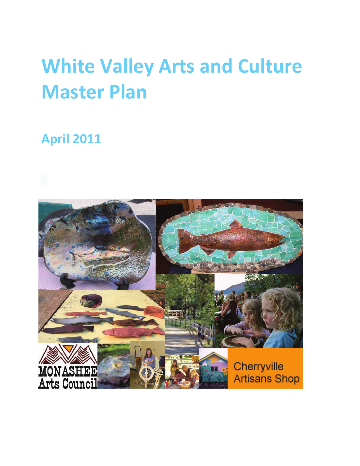# **White Valley Arts and Culture Master Plan**

# **April 2011**

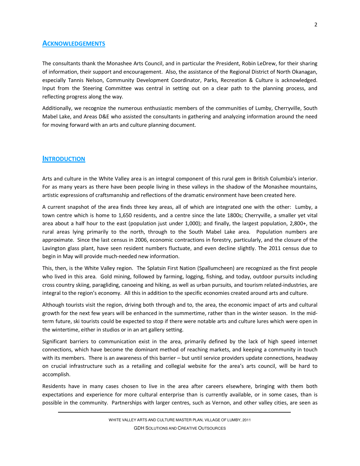# **ACKNOWLEDGEMENTS**

The consultants thank the Monashee Arts Council, and in particular the President, Robin LeDrew, for their sharing of information, their support and encouragement. Also, the assistance of the Regional District of North Okanagan, especially Tannis Nelson, Community Development Coordinator, Parks, Recreation & Culture is acknowledged. Input from the Steering Committee was central in setting out on a clear path to the planning process, and reflecting progress along the way.

Additionally, we recognize the numerous enthusiastic members of the communities of Lumby, Cherryville, South Mabel Lake, and Areas D&E who assisted the consultants in gathering and analyzing information around the need for moving forward with an arts and culture planning document.

# **INTRODUCTION**

Arts and culture in the White Valley area is an integral component of this rural gem in British Columbia's interior. For as many years as there have been people living in these valleys in the shadow of the Monashee mountains, artistic expressions of craftsmanship and reflections of the dramatic environment have been created here.

A current snapshot of the area finds three key areas, all of which are integrated one with the other: Lumby, a town centre which is home to 1,650 residents, and a centre since the late 1800s; Cherryville, a smaller yet vital area about a half hour to the east (population just under 1,000); and finally, the largest population, 2,800+, the rural areas lying primarily to the north, through to the South Mabel Lake area. Population numbers are approximate. Since the last census in 2006, economic contractions in forestry, particularly, and the closure of the Lavington glass plant, have seen resident numbers fluctuate, and even decline slightly. The 2011 census due to begin in May will provide much-needed new information.

This, then, is the White Valley region. The Splatsin First Nation (Spallumcheen) are recognized as the first people who lived in this area. Gold mining, followed by farming, logging, fishing, and today, outdoor pursuits including cross country skiing, paragliding, canoeing and hiking, as well as urban pursuits, and tourism related-industries, are integral to the region's economy. All this in addition to the specific economies created around arts and culture.

Although tourists visit the region, driving both through and to, the area, the economic impact of arts and cultural growth for the next few years will be enhanced in the summertime, rather than in the winter season. In the midterm future, ski tourists could be expected to stop if there were notable arts and culture lures which were open in the wintertime, either in studios or in an art gallery setting.

Significant barriers to communication exist in the area, primarily defined by the lack of high speed internet connections, which have become the dominant method of reaching markets, and keeping a community in touch with its members. There is an awareness of this barrier – but until service providers update connections, headway on crucial infrastructure such as a retailing and collegial website for the area's arts council, will be hard to accomplish.

Residents have in many cases chosen to live in the area after careers elsewhere, bringing with them both expectations and experience for more cultural enterprise than is currently available, or in some cases, than is possible in the community. Partnerships with larger centres, such as Vernon, and other valley cities, are seen as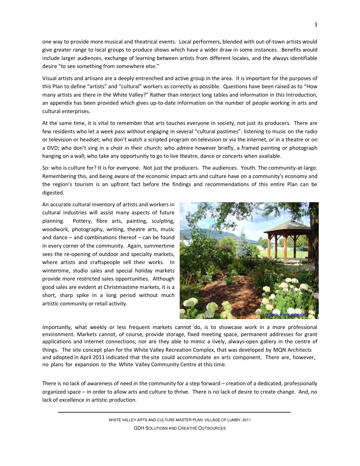one way to provide more musical and theatrical events. Local performers, blended with out-of-town artists would give greater range to local groups to produce shows which have a wider draw in some instances. Benefits would include larger audiences, exchange of learning between artists from different locales, and the always identifiable desire "to see something from somewhere else."

Visual artists and artisans are a deeply entrenched and active group in the area. It is important for the purposes of this Plan to define "artists" and "cultural" workers as correctly as possible. Questions have been raised as to "How many artists are there in the White Valley?" Rather than interject long tables and information in this Introduction, an appendix has been provided which gives up-to-date information on the number of people working in arts and cultural enterprises.

At the same time, it is vital to remember that arts touches everyone in society, not just its producers. There are few residents who let a week pass without engaging in several "cultural pastimes": listening to music on the radio or television or headset; who don't watch a scripted program on television or via the internet, or in a theatre or on a DVD; who don't sing in a choir in their church; who admire however briefly, a framed painting or photograph hanging on a wall; who take any opportunity to go to live theatre, dance or concerts when available.

So: who is culture for? It is for everyone. Not just the producers. The audiences. Youth. The community-at-large. Remembering this, and being aware of the economic impact arts and culture have on a community's economy and the region's tourism is an upfront fact before the findings and recommendations of this entire Plan can be digested.

An accurate cultural inventory of artists and workers in cultural industries will assist many aspects of future planning. Pottery, fibre arts, painting, sculpting, woodwork, photography, writing, theatre arts, music and dance – and combinations thereof – can be found in every corner of the community. Again, summertime sees the re-opening of outdoor and specialty markets, where artists and craftspeople sell their works. In wintertime, studio sales and special holiday markets provide more restricted sales opportunities. Although good sales are evident at Christmastime markets, it is a short, sharp spike in a long period without much artistic community or retail activity.



Importantly, what weekly or less frequent markets cannot do, is to showcase work in a more professional environment. Markets cannot, of course, provide storage, fixed meeting space, permanent addresses for grant applications and internet connections; nor are they able to mimic a lively, always-open gallery in the centre of things. The site concept plan for the White Valley Recreation Complex, that was developed by MQN Architects and adopted in April 2011 indicated that the site could accommodate an arts component. There are, however, no plans for expansion to the White Valley Community Centre at this time.

There is no lack of awareness of need in the community for a step forward – creation of a dedicated, professionally organized space – in order to allow arts and culture to thrive. There is no lack of desire to create change. And, no lack of excellence in artistic production.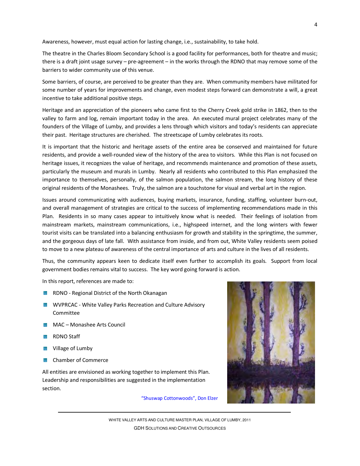Awareness, however, must equal action for lasting change, i.e., sustainability, to take hold.

The theatre in the Charles Bloom Secondary School is a good facility for performances, both for theatre and music; there is a draft joint usage survey – pre-agreement – in the works through the RDNO that may remove some of the barriers to wider community use of this venue.

Some barriers, of course, are perceived to be greater than they are. When community members have militated for some number of years for improvements and change, even modest steps forward can demonstrate a will, a great incentive to take additional positive steps.

Heritage and an appreciation of the pioneers who came first to the Cherry Creek gold strike in 1862, then to the valley to farm and log, remain important today in the area. An executed mural project celebrates many of the founders of the Village of Lumby, and provides a lens through which visitors and today's residents can appreciate their past. Heritage structures are cherished. The streetscape of Lumby celebrates its roots.

It is important that the historic and heritage assets of the entire area be conserved and maintained for future residents, and provide a well-rounded view of the history of the area to visitors. While this Plan is not focused on heritage issues, it recognizes the value of heritage, and recommends maintenance and promotion of these assets, particularly the museum and murals in Lumby. Nearly all residents who contributed to this Plan emphasized the importance to themselves, personally, of the salmon population, the salmon stream, the long history of these original residents of the Monashees. Truly, the salmon are a touchstone for visual and verbal art in the region.

Issues around communicating with audiences, buying markets, insurance, funding, staffing, volunteer burn-out, and overall management of strategies are critical to the success of implementing recommendations made in this Plan. Residents in so many cases appear to intuitively know what is needed. Their feelings of isolation from mainstream markets, mainstream communications, i.e., highspeed internet, and the long winters with fewer tourist visits can be translated into a balancing enthusiasm for growth and stability in the springtime, the summer, and the gorgeous days of late fall. With assistance from inside, and from out, White Valley residents seem poised to move to a new plateau of awareness of the central importance of arts and culture in the lives of all residents.

Thus, the community appears keen to dedicate itself even further to accomplish its goals. Support from local government bodies remains vital to success. The key word going forward is action.

In this report, references are made to:

- **RIGHT AND ADIST AND REGIONAL DISTRICT OF the North Okanagan**
- **WE WVPRCAC White Valley Parks Recreation and Culture Advisory** Committee
- **MAC** Monashee Arts Council
- **RDNO** Staff
- **W** Village of Lumby
- **Chamber of Commerce**

All entities are envisioned as working together to implement this Plan. Leadership and responsibilities are suggested in the implementation section.

"Shuswap Cottonwoods", Don Elzer

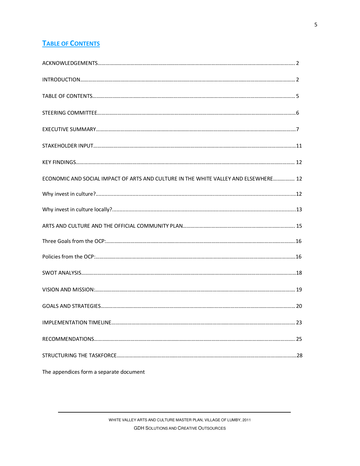# **TABLE OF CONTENTS**

| ECONOMIC AND SOCIAL IMPACT OF ARTS AND CULTURE IN THE WHITE VALLEY AND ELSEWHERE 12 |    |
|-------------------------------------------------------------------------------------|----|
|                                                                                     |    |
|                                                                                     |    |
|                                                                                     |    |
|                                                                                     |    |
|                                                                                     |    |
|                                                                                     |    |
|                                                                                     |    |
|                                                                                     |    |
| IMPLEMENTATION TIMELINE                                                             | 23 |
|                                                                                     |    |
|                                                                                     |    |
|                                                                                     |    |

The appendices form a separate document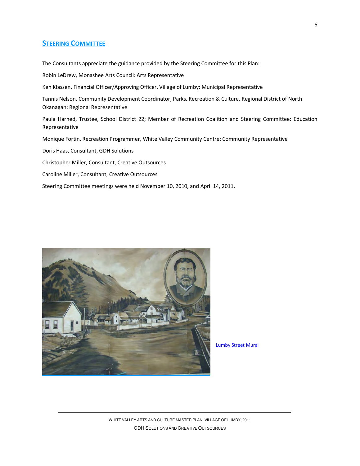# **STEERING COMMITTEE**

The Consultants appreciate the guidance provided by the Steering Committee for this Plan:

Robin LeDrew, Monashee Arts Council: Arts Representative

Ken Klassen, Financial Officer/Approving Officer, Village of Lumby: Municipal Representative

Tannis Nelson, Community Development Coordinator, Parks, Recreation & Culture, Regional District of North Okanagan: Regional Representative

Paula Harned, Trustee, School District 22; Member of Recreation Coalition and Steering Committee: Education Representative

Monique Fortin, Recreation Programmer, White Valley Community Centre: Community Representative

Doris Haas, Consultant, GDH Solutions

Christopher Miller, Consultant, Creative Outsources

Caroline Miller, Consultant, Creative Outsources

Steering Committee meetings were held November 10, 2010, and April 14, 2011.



Lumby Street Mural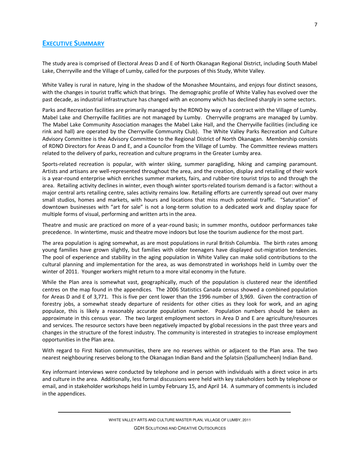# **EXECUTIVE SUMMARY**

The study area is comprised of Electoral Areas D and E of North Okanagan Regional District, including South Mabel Lake, Cherryville and the Village of Lumby, called for the purposes of this Study, White Valley.

White Valley is rural in nature, lying in the shadow of the Monashee Mountains, and enjoys four distinct seasons, with the changes in tourist traffic which that brings. The demographic profile of White Valley has evolved over the past decade, as industrial infrastructure has changed with an economy which has declined sharply in some sectors.

Parks and Recreation facilities are primarily managed by the RDNO by way of a contract with the Village of Lumby. Mabel Lake and Cherryville facilities are not managed by Lumby. Cherryville programs are managed by Lumby. The Mabel Lake Community Association manages the Mabel Lake Hall, and the Cherryville facilities (including ice rink and hall) are operated by the Cherryville Community Club). The White Valley Parks Recreation and Culture Advisory Committee is the Advisory Committee to the Regional District of North Okanagan. Membership consists of RDNO Directors for Areas D and E, and a Councilor from the Village of Lumby. The Committee reviews matters related to the delivery of parks, recreation and culture programs in the Greater Lumby area.

Sports-related recreation is popular, with winter skiing, summer paragliding, hiking and camping paramount. Artists and artisans are well-represented throughout the area, and the creation, display and retailing of their work is a year-round enterprise which enriches summer markets, fairs, and rubber-tire tourist trips to and through the area. Retailing activity declines in winter, even though winter sports-related tourism demand is a factor: without a major central arts retailing centre, sales activity remains low. Retailing efforts are currently spread out over many small studios, homes and markets, with hours and locations that miss much potential traffic. "Saturation" of downtown businesses with "art for sale" is not a long-term solution to a dedicated work and display space for multiple forms of visual, performing and written arts in the area.

Theatre and music are practiced on more of a year-round basis; in summer months, outdoor performances take precedence. In wintertime, music and theatre move indoors but lose the tourism audience for the most part.

The area population is aging somewhat, as are most populations in rural British Columbia. The birth rates among young families have grown slightly, but families with older teenagers have displayed out-migration tendencies. The pool of experience and stability in the aging population in White Valley can make solid contributions to the cultural planning and implementation for the area, as was demonstrated in workshops held in Lumby over the winter of 2011. Younger workers might return to a more vital economy in the future.

While the Plan area is somewhat vast, geographically, much of the population is clustered near the identified centres on the map found in the appendices. The 2006 Statistics Canada census showed a combined population for Areas D and E of 3,771. This is five per cent lower than the 1996 number of 3,969. Given the contraction of forestry jobs, a somewhat steady departure of residents for other cities as they look for work, and an aging populace, this is likely a reasonably accurate population number. Population numbers should be taken as approximate in this census year. The two largest employment sectors in Area D and E are agriculture/resources and services. The resource sectors have been negatively impacted by global recessions in the past three years and changes in the structure of the forest industry. The community is interested in strategies to increase employment opportunities in the Plan area.

With regard to First Nation communities, there are no reserves within or adjacent to the Plan area. The two nearest neighbouring reserves belong to the Okanagan Indian Band and the Splatsin (Spallumcheen) Indian Band.

Key informant interviews were conducted by telephone and in person with individuals with a direct voice in arts and culture in the area. Additionally, less formal discussions were held with key stakeholders both by telephone or email, and in stakeholder workshops held in Lumby February 15, and April 14. A summary of comments is included in the appendices.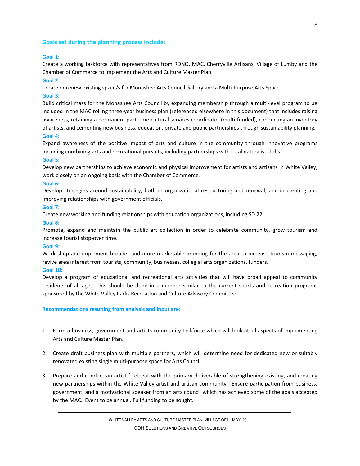#### **Goals set during the planning process include:**

#### **Goal 1:**

Create a working taskforce with representatives from RDNO, MAC, Cherryville Artisans, Village of Lumby and the Chamber of Commerce to implement the Arts and Culture Master Plan.

#### **Goal 2:**

Create or renew existing space/s for Monashee Arts Council Gallery and a Multi-Purpose Arts Space.

#### **Goal 3:**

Build critical mass for the Monashee Arts Council by expanding membership through a multi-level program to be included in the MAC rolling three-year business plan (referenced elsewhere in this document) that includes raising awareness, retaining a permanent part-time cultural services coordinator (multi-funded), conducting an inventory of artists, and cementing new business, education, private and public partnerships through sustainability planning. **Goal 4:** 

Expand awareness of the positive impact of arts and culture in the community through innovative programs including combining arts and recreational pursuits, including partnerships with local naturalist clubs.

#### **Goal 5:**

Develop new partnerships to achieve economic and physical improvement for artists and artisans in White Valley; work closely on an ongoing basis with the Chamber of Commerce.

#### **Goal 6:**

Develop strategies around sustainability, both in organizational restructuring and renewal, and in creating and improving relationships with government officials.

#### **Goal 7:**

Create new working and funding relationships with education organizations, including SD 22.

#### **Goal 8:**

Promote, expand and maintain the public art collection in order to celebrate community, grow tourism and increase tourist stop-over time.

#### **Goal 9:**

Work shop and implement broader and more marketable branding for the area to increase tourism messaging, revive area interest from tourists, community, businesses, collegial arts organizations, funders.

#### **Goal 10:**

Develop a program of educational and recreational arts activities that will have broad appeal to community residents of all ages. This should be done in a manner similar to the current sports and recreation programs sponsored by the White Valley Parks Recreation and Culture Advisory Committee.

#### **Recommendations resulting from analysis and input are:**

- 1. Form a business, government and artists community taskforce which will look at all aspects of implementing Arts and Culture Master Plan.
- 2. Create draft business plan with multiple partners, which will determine need for dedicated new or suitably renovated existing single multi-purpose space for Arts Council.
- 3. Prepare and conduct an artists' retreat with the primary deliverable of strengthening existing, and creating new partnerships within the White Valley artist and artisan community. Ensure participation from business, government, and a motivational speaker from an arts council which has achieved some of the goals accepted by the MAC. Event to be annual. Full funding to be sought.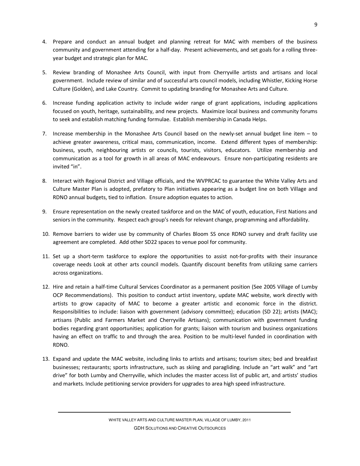- 4. Prepare and conduct an annual budget and planning retreat for MAC with members of the business community and government attending for a half-day. Present achievements, and set goals for a rolling threeyear budget and strategic plan for MAC.
- 5. Review branding of Monashee Arts Council, with input from Cherryville artists and artisans and local government. Include review of similar and of successful arts council models, including Whistler, Kicking Horse Culture (Golden), and Lake Country. Commit to updating branding for Monashee Arts and Culture.
- 6. Increase funding application activity to include wider range of grant applications, including applications focused on youth, heritage, sustainability, and new projects. Maximize local business and community forums to seek and establish matching funding formulae. Establish membership in Canada Helps.
- 7. Increase membership in the Monashee Arts Council based on the newly-set annual budget line item to achieve greater awareness, critical mass, communication, income. Extend different types of membership: business, youth, neighbouring artists or councils, tourists, visitors, educators. Utilize membership and communication as a tool for growth in all areas of MAC endeavours. Ensure non-participating residents are invited "in".
- 8. Interact with Regional District and Village officials, and the WVPRCAC to guarantee the White Valley Arts and Culture Master Plan is adopted, prefatory to Plan initiatives appearing as a budget line on both Village and RDNO annual budgets, tied to inflation. Ensure adoption equates to action.
- 9. Ensure representation on the newly created taskforce and on the MAC of youth, education, First Nations and seniors in the community. Respect each group's needs for relevant change, programming and affordability.
- 10. Remove barriers to wider use by community of Charles Bloom SS once RDNO survey and draft facility use agreement are completed. Add other SD22 spaces to venue pool for community.
- 11. Set up a short-term taskforce to explore the opportunities to assist not-for-profits with their insurance coverage needs Look at other arts council models. Quantify discount benefits from utilizing same carriers across organizations.
- 12. Hire and retain a half-time Cultural Services Coordinator as a permanent position (See 2005 Village of Lumby OCP Recommendations). This position to conduct artist inventory, update MAC website, work directly with artists to grow capacity of MAC to become a greater artistic and economic force in the district. Responsibilities to include: liaison with government (advisory committee); education (SD 22); artists (MAC); artisans (Public and Farmers Market and Cherryville Artisans); communication with government funding bodies regarding grant opportunities; application for grants; liaison with tourism and business organizations having an effect on traffic to and through the area. Position to be multi-level funded in coordination with RDNO.
- 13. Expand and update the MAC website, including links to artists and artisans; tourism sites; bed and breakfast businesses; restaurants; sports infrastructure, such as skiing and paragliding. Include an "art walk" and "art drive" for both Lumby and Cherryville, which includes the master access list of public art, and artists' studios and markets. Include petitioning service providers for upgrades to area high speed infrastructure.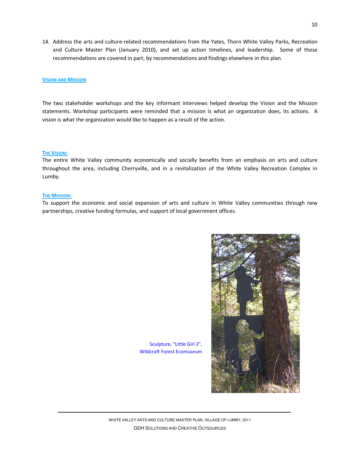14. Address the arts and culture-related recommendations from the Yates, Thorn White Valley Parks, Recreation and Culture Master Plan (January 2010), and set up action timelines, and leadership. Some of these recommendations are covered in part, by recommendations and findings elsewhere in this plan.

#### **VISION AND MISSION**

The two stakeholder workshops and the key informant interviews helped develop the Vision and the Mission statements. Workshop participants were reminded that a mission is what an organization does, its actions. A vision is what the organization would like to happen as a result of the action.

#### **THE VISION:**

The entire White Valley community economically and socially benefits from an emphasis on arts and culture throughout the area, including Cherryville, and in a revitalization of the White Valley Recreation Complex in Lumby.

#### **THE MISSION:**

To support the economic and social expansion of arts and culture in White Valley communities through new partnerships, creative funding formulas, and support of local government offices.



Sculpture, "Little Girl 2", Wildcraft Forest Ecomuseum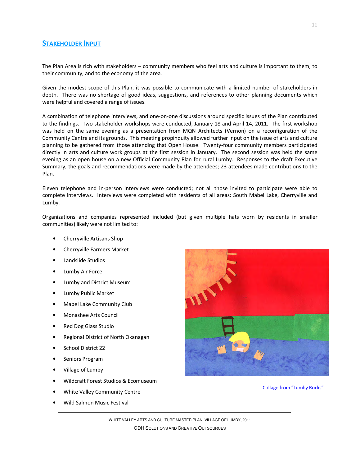# **STAKEHOLDER INPUT**

The Plan Area is rich with stakeholders – community members who feel arts and culture is important to them, to their community, and to the economy of the area.

Given the modest scope of this Plan, it was possible to communicate with a limited number of stakeholders in depth. There was no shortage of good ideas, suggestions, and references to other planning documents which were helpful and covered a range of issues.

A combination of telephone interviews, and one-on-one discussions around specific issues of the Plan contributed to the findings. Two stakeholder workshops were conducted, January 18 and April 14, 2011. The first workshop was held on the same evening as a presentation from MQN Architects (Vernon) on a reconfiguration of the Community Centre and its grounds. This meeting propinquity allowed further input on the issue of arts and culture planning to be gathered from those attending that Open House. Twenty-four community members participated directly in arts and culture work groups at the first session in January. The second session was held the same evening as an open house on a new Official Community Plan for rural Lumby. Responses to the draft Executive Summary, the goals and recommendations were made by the attendees; 23 attendees made contributions to the Plan.

Eleven telephone and in-person interviews were conducted; not all those invited to participate were able to complete interviews. Interviews were completed with residents of all areas: South Mabel Lake, Cherryville and Lumby.

Organizations and companies represented included (but given multiple hats worn by residents in smaller communities) likely were not limited to:

- Cherryville Artisans Shop
- Cherryville Farmers Market
- Landslide Studios
- Lumby Air Force
- Lumby and District Museum
- Lumby Public Market
- Mabel Lake Community Club
- Monashee Arts Council
- Red Dog Glass Studio
- Regional District of North Okanagan
- School District 22
- Seniors Program
- Village of Lumby
- Wildcraft Forest Studios & Ecomuseum
- White Valley Community Centre
- Wild Salmon Music Festival



Collage from "Lumby Rocks"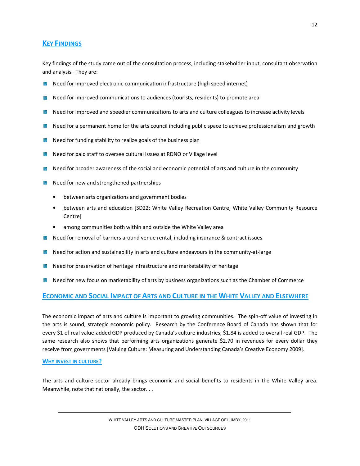# **KEY FINDINGS**

Key findings of the study came out of the consultation process, including stakeholder input, consultant observation and analysis. They are:

- **Need for improved electronic communication infrastructure (high speed internet)**
- Need for improved communications to audiences (tourists, residents) to promote area
- **Need for improved and speedier communications to arts and culture colleagues to increase activity levels**
- Need for a permanent home for the arts council including public space to achieve professionalism and growth
- Need for funding stability to realize goals of the business plan
- **Need for paid staff to oversee cultural issues at RDNO or Village level**
- Need for broader awareness of the social and economic potential of arts and culture in the community
- Need for new and strengthened partnerships
	- between arts organizations and government bodies
	- between arts and education [SD22; White Valley Recreation Centre; White Valley Community Resource Centre]
	- among communities both within and outside the White Valley area
- **Need for removal of barriers around venue rental, including insurance & contract issues**
- **Need for action and sustainability in arts and culture endeavours in the community-at-large**
- Need for preservation of heritage infrastructure and marketability of heritage
- Need for new focus on marketability of arts by business organizations such as the Chamber of Commerce

# **ECONOMIC AND SOCIAL IMPACT OF ARTS AND CULTURE IN THE WHITE VALLEY AND ELSEWHERE**

The economic impact of arts and culture is important to growing communities. The spin-off value of investing in the arts is sound, strategic economic policy. Research by the Conference Board of Canada has shown that for every \$1 of real value-added GDP produced by Canada's culture industries, \$1.84 is added to overall real GDP. The same research also shows that performing arts organizations generate \$2.70 in revenues for every dollar they receive from governments [Valuing Culture: Measuring and Understanding Canada's Creative Economy 2009].

#### **WHY INVEST IN CULTURE?**

The arts and culture sector already brings economic and social benefits to residents in the White Valley area. Meanwhile, note that nationally, the sector. . .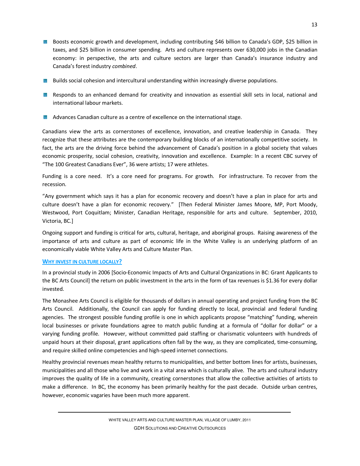- Boosts economic growth and development, including contributing \$46 billion to Canada's GDP, \$25 billion in taxes, and \$25 billion in consumer spending. Arts and culture represents over 630,000 jobs in the Canadian economy: in perspective, the arts and culture sectors are larger than Canada's insurance industry and Canada's forest industry *combined*.
- **Builds social cohesion and intercultural understanding within increasingly diverse populations.**
- **Responds to an enhanced demand for creativity and innovation as essential skill sets in local, national and** international labour markets.
- **Advances Canadian culture as a centre of excellence on the international stage.**

Canadians view the arts as cornerstones of excellence, innovation, and creative leadership in Canada. They recognize that these attributes are the contemporary building blocks of an internationally competitive society. In fact, the arts are the driving force behind the advancement of Canada's position in a global society that values economic prosperity, social cohesion, creativity, innovation and excellence. Example: In a recent CBC survey of "The 100 Greatest Canadians Ever", 36 were artists; 17 were athletes.

Funding is a core need. It's a core need for programs. For growth. For infrastructure. To recover from the recession.

"Any government which says it has a plan for economic recovery and doesn't have a plan in place for arts and culture doesn't have a plan for economic recovery." [Then Federal Minister James Moore, MP, Port Moody, Westwood, Port Coquitlam; Minister, Canadian Heritage, responsible for arts and culture. September, 2010, Victoria, BC.]

Ongoing support and funding is critical for arts, cultural, heritage, and aboriginal groups. Raising awareness of the importance of arts and culture as part of economic life in the White Valley is an underlying platform of an economically viable White Valley Arts and Culture Master Plan.

# **WHY INVEST IN CULTURE LOCALLY?**

In a provincial study in 2006 [Socio-Economic Impacts of Arts and Cultural Organizations in BC: Grant Applicants to the BC Arts Council] the return on public investment in the arts in the form of tax revenues is \$1.36 for every dollar invested.

The Monashee Arts Council is eligible for thousands of dollars in annual operating and project funding from the BC Arts Council. Additionally, the Council can apply for funding directly to local, provincial and federal funding agencies. The strongest possible funding profile is one in which applicants propose "matching" funding, wherein local businesses or private foundations agree to match public funding at a formula of "dollar for dollar" or a varying funding profile. However, without committed paid staffing or charismatic volunteers with hundreds of unpaid hours at their disposal, grant applications often fall by the way, as they are complicated, time-consuming, and require skilled online competencies and high-speed internet connections.

Healthy provincial revenues mean healthy returns to municipalities, and better bottom lines for artists, businesses, municipalities and all those who live and work in a vital area which is culturally alive. The arts and cultural industry improves the quality of life in a community, creating cornerstones that allow the collective activities of artists to make a difference. In BC, the economy has been primarily healthy for the past decade. Outside urban centres, however, economic vagaries have been much more apparent.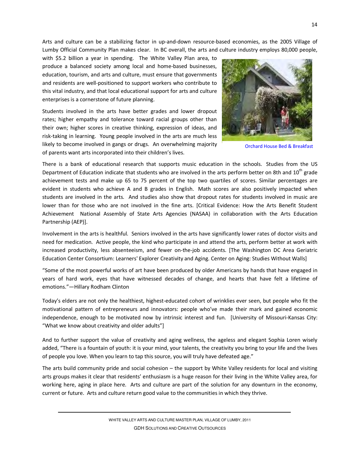Arts and culture can be a stabilizing factor in up-and-down resource-based economies, as the 2005 Village of Lumby Official Community Plan makes clear. In BC overall, the arts and culture industry employs 80,000 people,

with \$5.2 billion a year in spending. The White Valley Plan area, to produce a balanced society among local and home-based businesses, education, tourism, and arts and culture, must ensure that governments and residents are well-positioned to support workers who contribute to this vital industry, and that local educational support for arts and culture enterprises is a cornerstone of future planning.

Students involved in the arts have better grades and lower dropout rates; higher empathy and tolerance toward racial groups other than their own; higher scores in creative thinking, expression of ideas, and risk-taking in learning. Young people involved in the arts are much less likely to become involved in gangs or drugs. An overwhelming majority of parents want arts incorporated into their children's lives.



Orchard House Bed & Breakfast

There is a bank of educational research that supports music education in the schools. Studies from the US Department of Education indicate that students who are involved in the arts perform better on 8th and  $10^{th}$  grade achievement tests and make up 65 to 75 percent of the top two quartiles of scores. Similar percentages are evident in students who achieve A and B grades in English. Math scores are also positively impacted when students are involved in the arts. And studies also show that dropout rates for students involved in music are lower than for those who are not involved in the fine arts. [Critical Evidence: How the Arts Benefit Student Achievement National Assembly of State Arts Agencies (NASAA) in collaboration with the Arts Education Partnership (AEP)].

Involvement in the arts is healthful. Seniors involved in the arts have significantly lower rates of doctor visits and need for medication. Active people, the kind who participate in and attend the arts, perform better at work with increased productivity, less absenteeism, and fewer on-the-job accidents. [The Washington DC Area Geriatric Education Center Consortium: Learners' Explorer Creativity and Aging. Center on Aging: Studies Without Walls]

"Some of the most powerful works of art have been produced by older Americans by hands that have engaged in years of hard work, eyes that have witnessed decades of change, and hearts that have felt a lifetime of emotions."—Hillary Rodham Clinton

Today's elders are not only the healthiest, highest-educated cohort of wrinklies ever seen, but people who fit the motivational pattern of entrepreneurs and innovators: people who've made their mark and gained economic independence, enough to be motivated now by intrinsic interest and fun. [University of Missouri-Kansas City: "What we know about creativity and older adults"]

And to further support the value of creativity and aging wellness, the ageless and elegant Sophia Loren wisely added, "There is a fountain of youth: it is your mind, your talents, the creativity you bring to your life and the lives of people you love. When you learn to tap this source, you will truly have defeated age."

The arts build community pride and social cohesion – the support by White Valley residents for local and visiting arts groups makes it clear that residents' enthusiasm is a huge reason for their living in the White Valley area, for working here, aging in place here. Arts and culture are part of the solution for any downturn in the economy, current or future. Arts and culture return good value to the communities in which they thrive.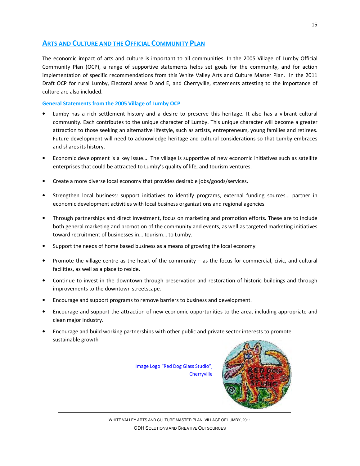# **ARTS AND CULTURE AND THE OFFICIAL COMMUNITY PLAN**

The economic impact of arts and culture is important to all communities. In the 2005 Village of Lumby Official Community Plan (OCP), a range of supportive statements helps set goals for the community, and for action implementation of specific recommendations from this White Valley Arts and Culture Master Plan. In the 2011 Draft OCP for rural Lumby, Electoral areas D and E, and Cherryville, statements attesting to the importance of culture are also included.

# **General Statements from the 2005 Village of Lumby OCP**

- Lumby has a rich settlement history and a desire to preserve this heritage. It also has a vibrant cultural community. Each contributes to the unique character of Lumby. This unique character will become a greater attraction to those seeking an alternative lifestyle, such as artists, entrepreneurs, young families and retirees. Future development will need to acknowledge heritage and cultural considerations so that Lumby embraces and shares its history.
- Economic development is a key issue…. The village is supportive of new economic initiatives such as satellite enterprises that could be attracted to Lumby's quality of life, and tourism ventures.
- Create a more diverse local economy that provides desirable jobs/goods/services.
- Strengthen local business: support initiatives to identify programs, external funding sources… partner in economic development activities with local business organizations and regional agencies.
- Through partnerships and direct investment, focus on marketing and promotion efforts. These are to include both general marketing and promotion of the community and events, as well as targeted marketing initiatives toward recruitment of businesses in… tourism… to Lumby.
- Support the needs of home based business as a means of growing the local economy.
- Promote the village centre as the heart of the community as the focus for commercial, civic, and cultural facilities, as well as a place to reside.
- Continue to invest in the downtown through preservation and restoration of historic buildings and through improvements to the downtown streetscape.
- Encourage and support programs to remove barriers to business and development.
- Encourage and support the attraction of new economic opportunities to the area, including appropriate and clean major industry.
- Encourage and build working partnerships with other public and private sector interests to promote sustainable growth

Image Logo "Red Dog Glass Studio", **Cherryville** 

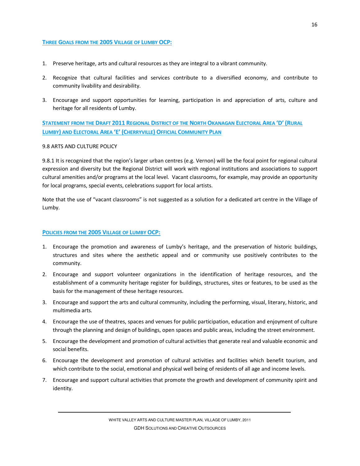# **THREE GOALS FROM THE 2005 VILLAGE OF LUMBY OCP:**

- 1. Preserve heritage, arts and cultural resources as they are integral to a vibrant community.
- 2. Recognize that cultural facilities and services contribute to a diversified economy, and contribute to community livability and desirability.
- 3. Encourage and support opportunities for learning, participation in and appreciation of arts, culture and heritage for all residents of Lumby.

STATEMENT FROM THE DRAFT 2011 REGIONAL DISTRICT OF THE NORTH OKANAGAN ELECTORAL AREA 'D' (RURAL **LUMBY) AND ELECTORAL AREA 'E' (CHERRYVILLE) OFFICIAL COMMUNITY PLAN** 

#### 9.8 ARTS AND CULTURE POLICY

9.8.1 It is recognized that the region's larger urban centres (e.g. Vernon) will be the focal point for regional cultural expression and diversity but the Regional District will work with regional institutions and associations to support cultural amenities and/or programs at the local level. Vacant classrooms, for example, may provide an opportunity for local programs, special events, celebrations support for local artists.

Note that the use of "vacant classrooms" is not suggested as a solution for a dedicated art centre in the Village of Lumby.

#### **POLICIES FROM THE 2005 VILLAGE OF LUMBY OCP:**

- 1. Encourage the promotion and awareness of Lumby's heritage, and the preservation of historic buildings, structures and sites where the aesthetic appeal and or community use positively contributes to the community.
- 2. Encourage and support volunteer organizations in the identification of heritage resources, and the establishment of a community heritage register for buildings, structures, sites or features, to be used as the basis for the management of these heritage resources.
- 3. Encourage and support the arts and cultural community, including the performing, visual, literary, historic, and multimedia arts.
- 4. Encourage the use of theatres, spaces and venues for public participation, education and enjoyment of culture through the planning and design of buildings, open spaces and public areas, including the street environment.
- 5. Encourage the development and promotion of cultural activities that generate real and valuable economic and social benefits.
- 6. Encourage the development and promotion of cultural activities and facilities which benefit tourism, and which contribute to the social, emotional and physical well being of residents of all age and income levels.
- 7. Encourage and support cultural activities that promote the growth and development of community spirit and identity.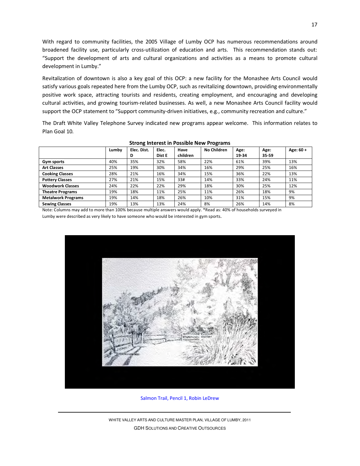With regard to community facilities, the 2005 Village of Lumby OCP has numerous recommendations around broadened facility use, particularly cross-utilization of education and arts. This recommendation stands out: "Support the development of arts and cultural organizations and activities as a means to promote cultural development in Lumby."

Revitalization of downtown is also a key goal of this OCP: a new facility for the Monashee Arts Council would satisfy various goals repeated here from the Lumby OCP, such as revitalizing downtown, providing environmentally positive work space, attracting tourists and residents, creating employment, and encouraging and developing cultural activities, and growing tourism-related businesses. As well, a new Monashee Arts Council facility would support the OCP statement to "Support community-driven initiatives, e.g., community recreation and culture."

The Draft White Valley Telephone Survey indicated new programs appear welcome. This information relates to Plan Goal 10.

|                           | Lumby | Elec. Dist. | Elec.  | Have     | No Children | Age:  | Age:  | Age: 60 + |
|---------------------------|-------|-------------|--------|----------|-------------|-------|-------|-----------|
|                           |       | D           | Dist E | children |             | 19-34 | 35 59 |           |
| Gym sports                | 40%   | 35%         | 32%    | 58%      | 22%         | 61%   | 39%   | 13%       |
| <b>Art Classes</b>        | 25%   | 19%         | 30%    | 34%      | 16%         | 29%   | 25%   | 16%       |
| <b>Cooking Classes</b>    | 28%   | 21%         | 16%    | 34%      | 15%         | 36%   | 22%   | 13%       |
| <b>Pottery Classes</b>    | 27%   | 21%         | 15%    | 33#      | 14%         | 33%   | 24%   | 11%       |
| <b>Woodwork Classes</b>   | 24%   | 22%         | 22%    | 29%      | 18%         | 30%   | 25%   | 12%       |
| <b>Theatre Programs</b>   | 19%   | 18%         | 11%    | 25%      | 11%         | 26%   | 18%   | 9%        |
| <b>Metalwork Programs</b> | 19%   | 14%         | 18%    | 26%      | 10%         | 31%   | 15%   | 9%        |
| <b>Sewing Classes</b>     | 19%   | 13%         | 13%    | 24%      | 8%          | 26%   | 14%   | 8%        |

#### **Strong Interest in Possible New Programs**

Note: Columns may add to more than 100% because multiple answers would apply. \*Read as: 40% of households surveyed in Lumby were described as very likely to have someone who would be interested in gym sports.



Salmon Trail, Pencil 1, Robin LeDrew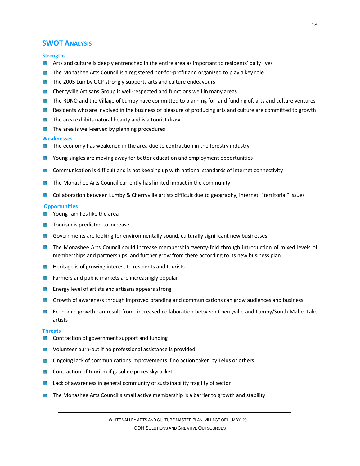# **SWOT ANALYSIS**

#### **Strengths**

- **A** Arts and culture is deeply entrenched in the entire area as important to residents' daily lives
- **The Monashee Arts Council is a registered not-for-profit and organized to play a key role**
- The 2005 Lumby OCP strongly supports arts and culture endeavours
- **EX** Cherryville Artisans Group is well-respected and functions well in many areas
- The RDNO and the Village of Lumby have committed to planning for, and funding of, arts and culture ventures
- Residents who are involved in the business or pleasure of producing arts and culture are committed to growth
- **The area exhibits natural beauty and is a tourist draw**
- The area is well-served by planning procedures

#### **Weaknesses**

- **The economy has weakened in the area due to contraction in the forestry industry**
- **EX** Young singles are moving away for better education and employment opportunities
- **EX** Communication is difficult and is not keeping up with national standards of internet connectivity
- **The Monashee Arts Council currently has limited impact in the community**
- **EX** Collaboration between Lumby & Cherryville artists difficult due to geography, internet, "territorial" issues

#### **Opportunities**

- Young families like the area
- **Tourism is predicted to increase**
- **B** Governments are looking for environmentally sound, culturally significant new businesses
- The Monashee Arts Council could increase membership twenty-fold through introduction of mixed levels of memberships and partnerships, and further grow from there according to its new business plan
- **Heritage is of growing interest to residents and tourists**
- **Farmers and public markets are increasingly popular**
- **Energy level of artists and artisans appears strong**
- **B** Growth of awareness through improved branding and communications can grow audiences and business
- Economic growth can result from increased collaboration between Cherryville and Lumby/South Mabel Lake 躑 artists

#### **Threats**

- **EX** Contraction of government support and funding
- **W** Volunteer burn-out if no professional assistance is provided
- **B** Ongoing lack of communications improvements if no action taken by Telus or others
- **Contraction of tourism if gasoline prices skyrocket**
- **EX** Lack of awareness in general community of sustainability fragility of sector
- **The Monashee Arts Council's small active membership is a barrier to growth and stability**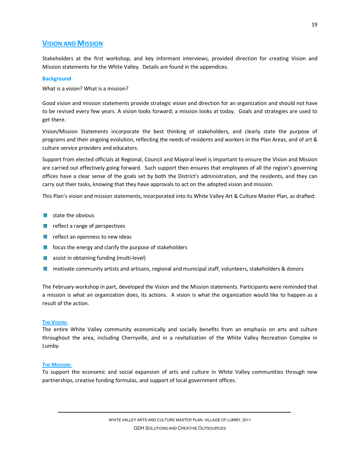# **VISION AND MISSION**

Stakeholders at the first workshop, and key informant interviews, provided direction for creating Vision and Mission statements for the White Valley. Details are found in the appendices.

#### **Background**

What is a vision? What is a mission?

Good vision and mission statements provide strategic vision and direction for an organization and should not have to be revised every few years. A vision looks forward; a mission looks at today. Goals and strategies are used to get there.

Vision/Mission Statements incorporate the best thinking of stakeholders, and clearly state the purpose of programs and their ongoing evolution, reflecting the needs of residents and workers in the Plan Areas, and of art & culture service providers and educators.

Support from elected officials at Regional, Council and Mayoral level is important to ensure the Vision and Mission are carried out effectively going forward. Such support then ensures that employees of all the region's governing offices have a clear sense of the goals set by both the District's administration, and the residents, and they can carry out their tasks, knowing that they have approvals to act on the adopted vision and mission.

This Plan's vision and mission statements, incorporated into its White Valley Art & Culture Master Plan, as drafted:

- state the obvious
- reflect a range of perspectives
- **Following Exercise 2** reflect an openness to new ideas
- **focus the energy and clarify the purpose of stakeholders**
- **assist in obtaining funding (multi-level)**
- **M** motivate community artists and artisans, regional and municipal staff, volunteers, stakeholders & donors

The February workshop in part, developed the Vision and the Mission statements. Participants were reminded that a mission is what an organization does, its actions. A vision is what the organization would like to happen as a result of the action.

#### **THE VISION:**

The entire White Valley community economically and socially benefits from an emphasis on arts and culture throughout the area, including Cherryville, and in a revitalization of the White Valley Recreation Complex in Lumby.

#### **THE MISSION:**

To support the economic and social expansion of arts and culture in White Valley communities through new partnerships, creative funding formulas, and support of local government offices.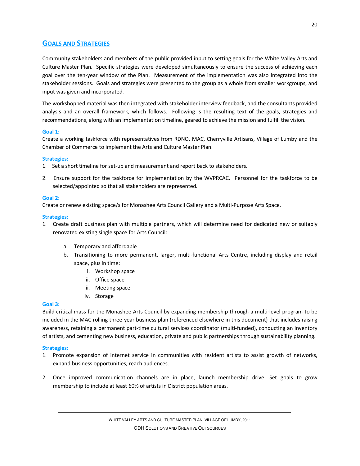# **GOALS AND STRATEGIES**

Community stakeholders and members of the public provided input to setting goals for the White Valley Arts and Culture Master Plan. Specific strategies were developed simultaneously to ensure the success of achieving each goal over the ten-year window of the Plan. Measurement of the implementation was also integrated into the stakeholder sessions. Goals and strategies were presented to the group as a whole from smaller workgroups, and input was given and incorporated.

The workshopped material was then integrated with stakeholder interview feedback, and the consultants provided analysis and an overall framework, which follows. Following is the resulting text of the goals, strategies and recommendations, along with an implementation timeline, geared to achieve the mission and fulfill the vision.

# **Goal 1:**

Create a working taskforce with representatives from RDNO, MAC, Cherryville Artisans, Village of Lumby and the Chamber of Commerce to implement the Arts and Culture Master Plan.

# **Strategies:**

- 1. Set a short timeline for set-up and measurement and report back to stakeholders.
- 2. Ensure support for the taskforce for implementation by the WVPRCAC. Personnel for the taskforce to be selected/appointed so that all stakeholders are represented.

# **Goal 2:**

Create or renew existing space/s for Monashee Arts Council Gallery and a Multi-Purpose Arts Space.

# **Strategies:**

- 1. Create draft business plan with multiple partners, which will determine need for dedicated new or suitably renovated existing single space for Arts Council:
	- a. Temporary and affordable
	- b. Transitioning to more permanent, larger, multi-functional Arts Centre, including display and retail space, plus in time:
		- i. Workshop space
		- ii. Office space
		- iii. Meeting space
		- iv. Storage

# **Goal 3:**

Build critical mass for the Monashee Arts Council by expanding membership through a multi-level program to be included in the MAC rolling three-year business plan (referenced elsewhere in this document) that includes raising awareness, retaining a permanent part-time cultural services coordinator (multi-funded), conducting an inventory of artists, and cementing new business, education, private and public partnerships through sustainability planning.

# **Strategies:**

- 1. Promote expansion of internet service in communities with resident artists to assist growth of networks, expand business opportunities, reach audiences.
- 2. Once improved communication channels are in place, launch membership drive. Set goals to grow membership to include at least 60% of artists in District population areas.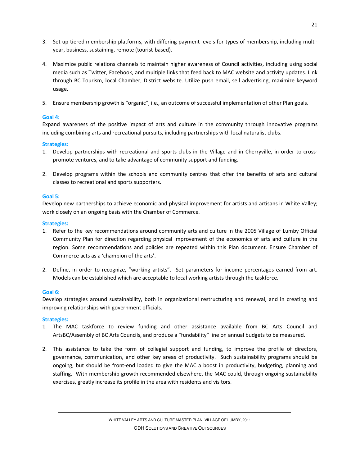- 3. Set up tiered membership platforms, with differing payment levels for types of membership, including multiyear, business, sustaining, remote (tourist-based).
- 4. Maximize public relations channels to maintain higher awareness of Council activities, including using social media such as Twitter, Facebook, and multiple links that feed back to MAC website and activity updates. Link through BC Tourism, local Chamber, District website. Utilize push email, sell advertising, maximize keyword usage.
- 5. Ensure membership growth is "organic", i.e., an outcome of successful implementation of other Plan goals.

# **Goal 4:**

Expand awareness of the positive impact of arts and culture in the community through innovative programs including combining arts and recreational pursuits, including partnerships with local naturalist clubs.

# **Strategies:**

- 1. Develop partnerships with recreational and sports clubs in the Village and in Cherryville, in order to crosspromote ventures, and to take advantage of community support and funding.
- 2. Develop programs within the schools and community centres that offer the benefits of arts and cultural classes to recreational and sports supporters.

# **Goal 5:**

Develop new partnerships to achieve economic and physical improvement for artists and artisans in White Valley; work closely on an ongoing basis with the Chamber of Commerce.

# **Strategies:**

- 1. Refer to the key recommendations around community arts and culture in the 2005 Village of Lumby Official Community Plan for direction regarding physical improvement of the economics of arts and culture in the region. Some recommendations and policies are repeated within this Plan document. Ensure Chamber of Commerce acts as a 'champion of the arts'.
- 2. Define, in order to recognize, "working artists". Set parameters for income percentages earned from art. Models can be established which are acceptable to local working artists through the taskforce.

# **Goal 6:**

Develop strategies around sustainability, both in organizational restructuring and renewal, and in creating and improving relationships with government officials.

# **Strategies:**

- 1. The MAC taskforce to review funding and other assistance available from BC Arts Council and ArtsBC/Assembly of BC Arts Councils, and produce a "fundability" line on annual budgets to be measured.
- 2. This assistance to take the form of collegial support and funding, to improve the profile of directors, governance, communication, and other key areas of productivity. Such sustainability programs should be ongoing, but should be front-end loaded to give the MAC a boost in productivity, budgeting, planning and staffing. With membership growth recommended elsewhere, the MAC could, through ongoing sustainability exercises, greatly increase its profile in the area with residents and visitors.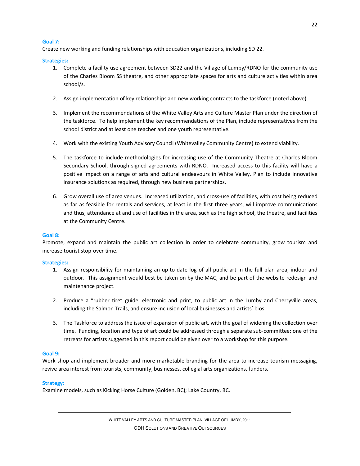#### **Goal 7:**

Create new working and funding relationships with education organizations, including SD 22.

#### **Strategies:**

- 1. Complete a facility use agreement between SD22 and the Village of Lumby/RDNO for the community use of the Charles Bloom SS theatre, and other appropriate spaces for arts and culture activities within area school/s.
- 2. Assign implementation of key relationships and new working contracts to the taskforce (noted above).
- 3. Implement the recommendations of the White Valley Arts and Culture Master Plan under the direction of the taskforce. To help implement the key recommendations of the Plan, include representatives from the school district and at least one teacher and one youth representative.
- 4. Work with the existing Youth Advisory Council (Whitevalley Community Centre) to extend viability.
- 5. The taskforce to include methodologies for increasing use of the Community Theatre at Charles Bloom Secondary School, through signed agreements with RDNO. Increased access to this facility will have a positive impact on a range of arts and cultural endeavours in White Valley. Plan to include innovative insurance solutions as required, through new business partnerships.
- 6. Grow overall use of area venues. Increased utilization, and cross-use of facilities, with cost being reduced as far as feasible for rentals and services, at least in the first three years, will improve communications and thus, attendance at and use of facilities in the area, such as the high school, the theatre, and facilities at the Community Centre.

#### **Goal 8:**

Promote, expand and maintain the public art collection in order to celebrate community, grow tourism and increase tourist stop-over time.

#### **Strategies:**

- 1. Assign responsibility for maintaining an up-to-date log of all public art in the full plan area, indoor and outdoor. This assignment would best be taken on by the MAC, and be part of the website redesign and maintenance project.
- 2. Produce a "rubber tire" guide, electronic and print, to public art in the Lumby and Cherryville areas, including the Salmon Trails, and ensure inclusion of local businesses and artists' bios.
- 3. The Taskforce to address the issue of expansion of public art, with the goal of widening the collection over time. Funding, location and type of art could be addressed through a separate sub-committee; one of the retreats for artists suggested in this report could be given over to a workshop for this purpose.

#### **Goal 9:**

Work shop and implement broader and more marketable branding for the area to increase tourism messaging, revive area interest from tourists, community, businesses, collegial arts organizations, funders.

#### **Strategy:**

Examine models, such as Kicking Horse Culture (Golden, BC); Lake Country, BC.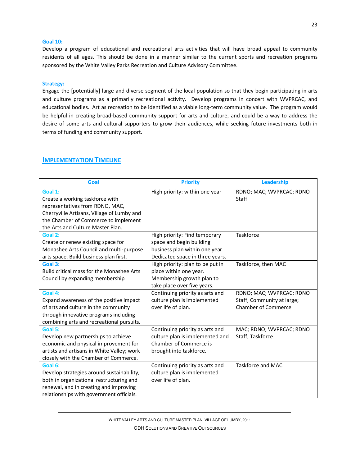#### **Goal 10:**

Develop a program of educational and recreational arts activities that will have broad appeal to community residents of all ages. This should be done in a manner similar to the current sports and recreation programs sponsored by the White Valley Parks Recreation and Culture Advisory Committee.

#### **Strategy:**

Engage the [potentially] large and diverse segment of the local population so that they begin participating in arts and culture programs as a primarily recreational activity. Develop programs in concert with WVPRCAC, and educational bodies. Art as recreation to be identified as a viable long-term community value. The program would be helpful in creating broad-based community support for arts and culture, and could be a way to address the desire of some arts and cultural supporters to grow their audiences, while seeking future investments both in terms of funding and community support.

| Goal                                       | <b>Priority</b>                  | Leadership                 |
|--------------------------------------------|----------------------------------|----------------------------|
| Goal 1:                                    | High priority: within one year   | RDNO; MAC; WVPRCAC; RDNO   |
| Create a working taskforce with            |                                  | <b>Staff</b>               |
| representatives from RDNO, MAC,            |                                  |                            |
| Cherryville Artisans, Village of Lumby and |                                  |                            |
| the Chamber of Commerce to implement       |                                  |                            |
| the Arts and Culture Master Plan.          |                                  |                            |
| Goal 2:                                    | High priority: Find temporary    | Taskforce                  |
| Create or renew existing space for         | space and begin building         |                            |
| Monashee Arts Council and multi-purpose    | business plan within one year.   |                            |
| arts space. Build business plan first.     | Dedicated space in three years.  |                            |
| Goal 3:                                    | High priority: plan to be put in | Taskforce, then MAC        |
| Build critical mass for the Monashee Arts  | place within one year.           |                            |
| Council by expanding membership            | Membership growth plan to        |                            |
|                                            | take place over five years.      |                            |
| Goal 4:                                    | Continuing priority as arts and  | RDNO; MAC; WVPRCAC; RDNO   |
| Expand awareness of the positive impact    | culture plan is implemented      | Staff; Community at large; |
| of arts and culture in the community       | over life of plan.               | <b>Chamber of Commerce</b> |
| through innovative programs including      |                                  |                            |
| combining arts and recreational pursuits.  |                                  |                            |
| Goal 5:                                    | Continuing priority as arts and  | MAC; RDNO; WVPRCAC; RDNO   |
| Develop new partnerships to achieve        | culture plan is implemented and  | Staff; Taskforce.          |
| economic and physical improvement for      | Chamber of Commerce is           |                            |
| artists and artisans in White Valley; work | brought into taskforce.          |                            |
| closely with the Chamber of Commerce.      |                                  |                            |
| Goal 6:                                    | Continuing priority as arts and  | Taskforce and MAC.         |
| Develop strategies around sustainability,  | culture plan is implemented      |                            |
| both in organizational restructuring and   | over life of plan.               |                            |
| renewal, and in creating and improving     |                                  |                            |
| relationships with government officials.   |                                  |                            |

# **IMPLEMENTATION TIMELINE**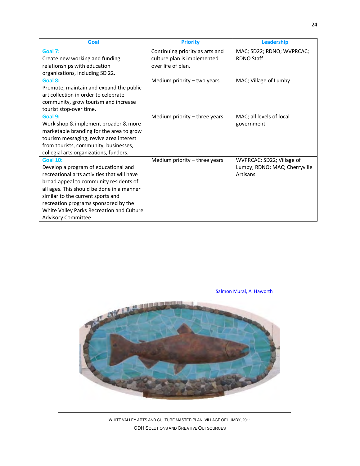| Goal                                        | <b>Priority</b>                 | Leadership                    |
|---------------------------------------------|---------------------------------|-------------------------------|
| Goal 7:                                     | Continuing priority as arts and | MAC; SD22; RDNO; WVPRCAC;     |
| Create new working and funding              | culture plan is implemented     | <b>RDNO Staff</b>             |
| relationships with education                | over life of plan.              |                               |
| organizations, including SD 22.             |                                 |                               |
| Goal 8:                                     | Medium priority $-$ two years   | MAC; Village of Lumby         |
| Promote, maintain and expand the public     |                                 |                               |
| art collection in order to celebrate        |                                 |                               |
| community, grow tourism and increase        |                                 |                               |
| tourist stop-over time.                     |                                 |                               |
| Goal 9:                                     | Medium priority - three years   | MAC; all levels of local      |
| Work shop & implement broader & more        |                                 | government                    |
| marketable branding for the area to grow    |                                 |                               |
| tourism messaging, revive area interest     |                                 |                               |
| from tourists, community, businesses,       |                                 |                               |
| collegial arts organizations, funders.      |                                 |                               |
| <b>Goal 10:</b>                             | Medium priority - three years   | WVPRCAC; SD22; Village of     |
| Develop a program of educational and        |                                 | Lumby; RDNO; MAC; Cherryville |
| recreational arts activities that will have |                                 | Artisans                      |
| broad appeal to community residents of      |                                 |                               |
| all ages. This should be done in a manner   |                                 |                               |
| similar to the current sports and           |                                 |                               |
| recreation programs sponsored by the        |                                 |                               |
| White Valley Parks Recreation and Culture   |                                 |                               |
| Advisory Committee.                         |                                 |                               |

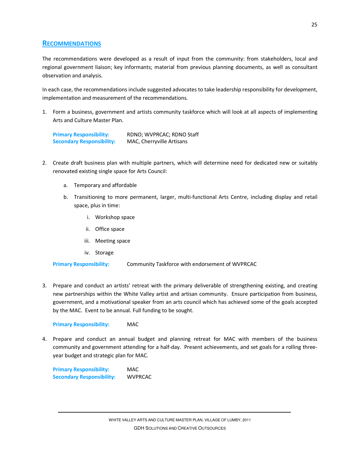# **RECOMMENDATIONS**

The recommendations were developed as a result of input from the community: from stakeholders, local and regional government liaison; key informants; material from previous planning documents, as well as consultant observation and analysis.

In each case, the recommendations include suggested advocates to take leadership responsibility for development, implementation and measurement of the recommendations.

1. Form a business, government and artists community taskforce which will look at all aspects of implementing Arts and Culture Master Plan.

**Primary Responsibility:** RDNO; WVPRCAC; RDNO Staff **Secondary Responsibility:** MAC, Cherryville Artisans

- 2. Create draft business plan with multiple partners, which will determine need for dedicated new or suitably renovated existing single space for Arts Council:
	- a. Temporary and affordable
	- b. Transitioning to more permanent, larger, multi-functional Arts Centre, including display and retail space, plus in time:
		- i. Workshop space
		- ii. Office space
		- iii. Meeting space
		- iv. Storage

**Primary Responsibility:** Community Taskforce with endorsement of WVPRCAC

3. Prepare and conduct an artists' retreat with the primary deliverable of strengthening existing, and creating new partnerships within the White Valley artist and artisan community. Ensure participation from business, government, and a motivational speaker from an arts council which has achieved some of the goals accepted by the MAC. Event to be annual. Full funding to be sought.

#### **Primary Responsibility:** MAC

4. Prepare and conduct an annual budget and planning retreat for MAC with members of the business community and government attending for a half-day. Present achievements, and set goals for a rolling threeyear budget and strategic plan for MAC.

**Primary Responsibility:** MAC **Secondary Responsibility:** WVPRCAC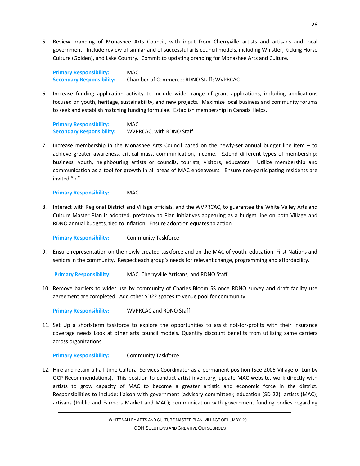5. Review branding of Monashee Arts Council, with input from Cherryville artists and artisans and local government. Include review of similar and of successful arts council models, including Whistler, Kicking Horse Culture (Golden), and Lake Country. Commit to updating branding for Monashee Arts and Culture.

**Primary Responsibility:** MAC **Secondary Responsibility:** Chamber of Commerce; RDNO Staff; WVPRCAC

6. Increase funding application activity to include wider range of grant applications, including applications focused on youth, heritage, sustainability, and new projects. Maximize local business and community forums to seek and establish matching funding formulae. Establish membership in Canada Helps.

**Primary Responsibility:** MAC **Secondary Responsibility:** WVPRCAC, with RDNO Staff

7. Increase membership in the Monashee Arts Council based on the newly-set annual budget line item – to achieve greater awareness, critical mass, communication, income. Extend different types of membership: business, youth, neighbouring artists or councils, tourists, visitors, educators. Utilize membership and communication as a tool for growth in all areas of MAC endeavours. Ensure non-participating residents are invited "in".

**Primary Responsibility:** MAC

8. Interact with Regional District and Village officials, and the WVPRCAC, to guarantee the White Valley Arts and Culture Master Plan is adopted, prefatory to Plan initiatives appearing as a budget line on both Village and RDNO annual budgets, tied to inflation. Ensure adoption equates to action.

**Primary Responsibility:** Community Taskforce

9. Ensure representation on the newly created taskforce and on the MAC of youth, education, First Nations and seniors in the community. Respect each group's needs for relevant change, programming and affordability.

**Primary Responsibility:** MAC, Cherryville Artisans, and RDNO Staff

10. Remove barriers to wider use by community of Charles Bloom SS once RDNO survey and draft facility use agreement are completed. Add other SD22 spaces to venue pool for community.

**Primary Responsibility:** WVPRCAC and RDNO Staff

11. Set Up a short-term taskforce to explore the opportunities to assist not-for-profits with their insurance coverage needs Look at other arts council models. Quantify discount benefits from utilizing same carriers across organizations.

**Primary Responsibility:** Community Taskforce

12. Hire and retain a half-time Cultural Services Coordinator as a permanent position (See 2005 Village of Lumby OCP Recommendations). This position to conduct artist inventory, update MAC website, work directly with artists to grow capacity of MAC to become a greater artistic and economic force in the district. Responsibilities to include: liaison with government (advisory committee); education (SD 22); artists (MAC); artisans (Public and Farmers Market and MAC); communication with government funding bodies regarding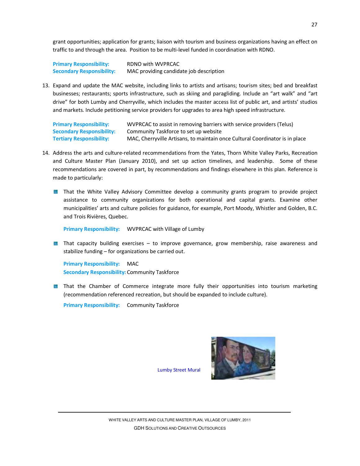grant opportunities; application for grants; liaison with tourism and business organizations having an effect on traffic to and through the area. Position to be multi-level funded in coordination with RDNO.

**Primary Responsibility:** RDNO with WVPRCAC **Secondary Responsibility:** MAC providing candidate job description

13. Expand and update the MAC website, including links to artists and artisans; tourism sites; bed and breakfast businesses; restaurants; sports infrastructure, such as skiing and paragliding. Include an "art walk" and "art drive" for both Lumby and Cherryville, which includes the master access list of public art, and artists' studios and markets. Include petitioning service providers for upgrades to area high speed infrastructure.

**Primary Responsibility:** WVPRCAC to assist in removing barriers with service providers (Telus) **Secondary Responsibility:** Community Taskforce to set up website **Tertiary Responsibility:** MAC, Cherryville Artisans, to maintain once Cultural Coordinator is in place

- 14. Address the arts and culture-related recommendations from the Yates, Thorn White Valley Parks, Recreation and Culture Master Plan (January 2010), and set up action timelines, and leadership. Some of these recommendations are covered in part, by recommendations and findings elsewhere in this plan. Reference is made to particularly:
	- **That the White Valley Advisory Committee develop a community grants program to provide project** assistance to community organizations for both operational and capital grants. Examine other municipalities' arts and culture policies for guidance, for example, Port Moody, Whistler and Golden, B.C. and Trois Rivières, Quebec.

**Primary Responsibility:** WVPRCAC with Village of Lumby

**That capacity building exercises – to improve governance, grow membership, raise awareness and** stabilize funding – for organizations be carried out.

**Primary Responsibility:** MAC **Secondary Responsibility:** Community Taskforce

**That the Chamber of Commerce integrate more fully their opportunities into tourism marketing** (recommendation referenced recreation, but should be expanded to include culture).

**Primary Responsibility:** Community Taskforce

Lumby Street Mural